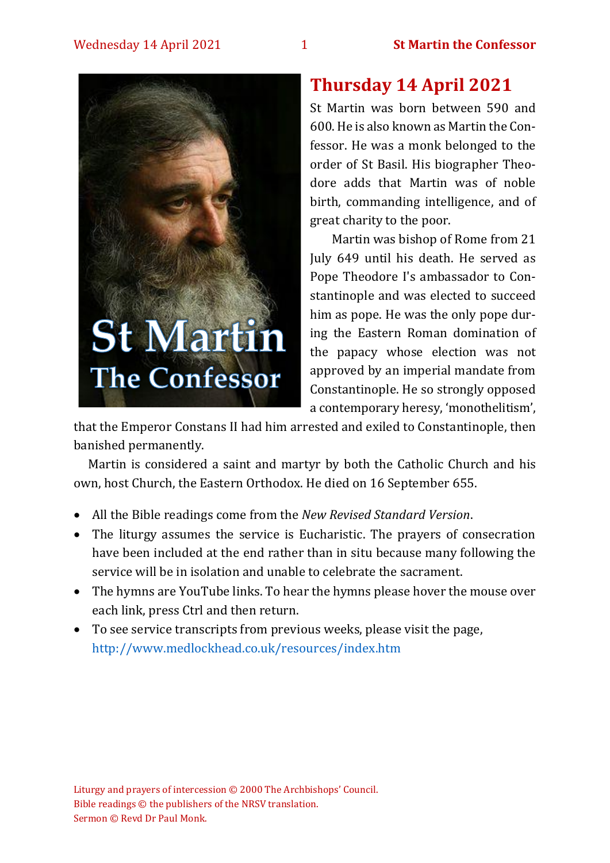

# **Thursday 14 April 2021**

St Martin was born between 590 and 600. He is also known as Martin the Confessor. He was a monk belonged to the order of St Basil. His biographer Theodore adds that Martin was of noble birth, commanding intelligence, and of great charity to the poor.

Martin was bishop of Rome from 21 July 649 until his death. He served as Pope Theodore I's ambassador to Constantinople and was elected to succeed him as pope. He was the only pope during the Eastern Roman domination of the papacy whose election was not approved by an imperial mandate from Constantinople. He so strongly opposed a contemporary heresy, 'monothelitism',

that the Emperor Constans II had him arrested and exiled to Constantinople, then banished permanently.

Martin is considered a saint and martyr by both the Catholic Church and his own, host Church, the Eastern Orthodox. He died on 16 September 655.

- All the Bible readings come from the *New Revised Standard Version*.
- The liturgy assumes the service is Eucharistic. The prayers of consecration have been included at the end rather than in situ because many following the service will be in isolation and unable to celebrate the sacrament.
- The hymns are YouTube links. To hear the hymns please hover the mouse over each link, press Ctrl and then return.
- To see service transcripts from previous weeks, please visit the page, <http://www.medlockhead.co.uk/resources/index.htm>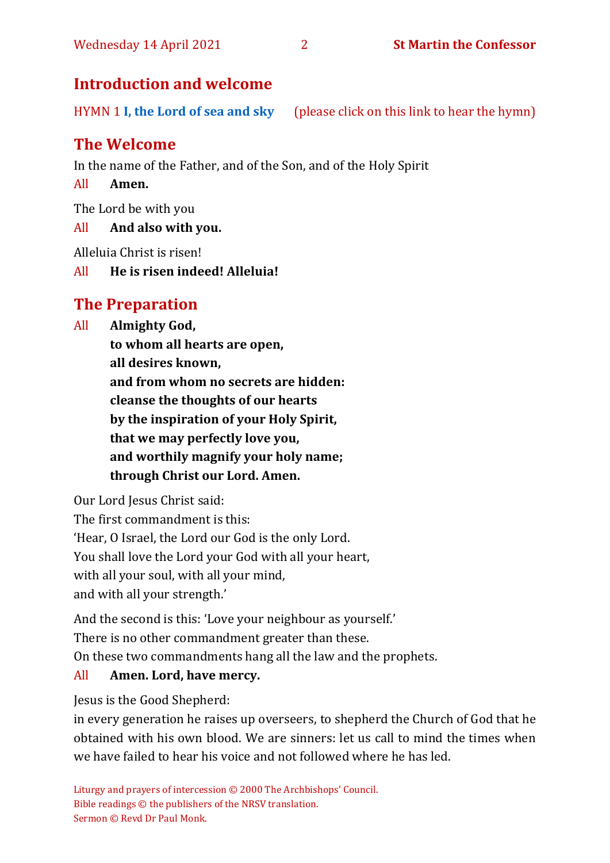# **Introduction and welcome**

HYMN 1 **I, [the Lord of sea and sky](https://youtu.be/EcxOkht8w7c)** (please click on this link to hear the hymn)

# **The Welcome**

In the name of the Father, and of the Son, and of the Holy Spirit

All **Amen.**

The Lord be with you

#### All **And also with you.**

Alleluia Christ is risen!

All **He is risen indeed! Alleluia!** 

# **The Preparation**

All **Almighty God,**

**to whom all hearts are open, all desires known, and from whom no secrets are hidden: cleanse the thoughts of our hearts by the inspiration of your Holy Spirit, that we may perfectly love you, and worthily magnify your holy name; through Christ our Lord. Amen.**

Our Lord Jesus Christ said:

The first commandment is this: 'Hear, O Israel, the Lord our God is the only Lord. You shall love the Lord your God with all your heart, with all your soul, with all your mind, and with all your strength.'

And the second is this: 'Love your neighbour as yourself.' There is no other commandment greater than these. On these two commandments hang all the law and the prophets.

#### All **Amen. Lord, have mercy.**

Jesus is the Good Shepherd:

in every generation he raises up overseers, to shepherd the Church of God that he obtained with his own blood. We are sinners: let us call to mind the times when we have failed to hear his voice and not followed where he has led.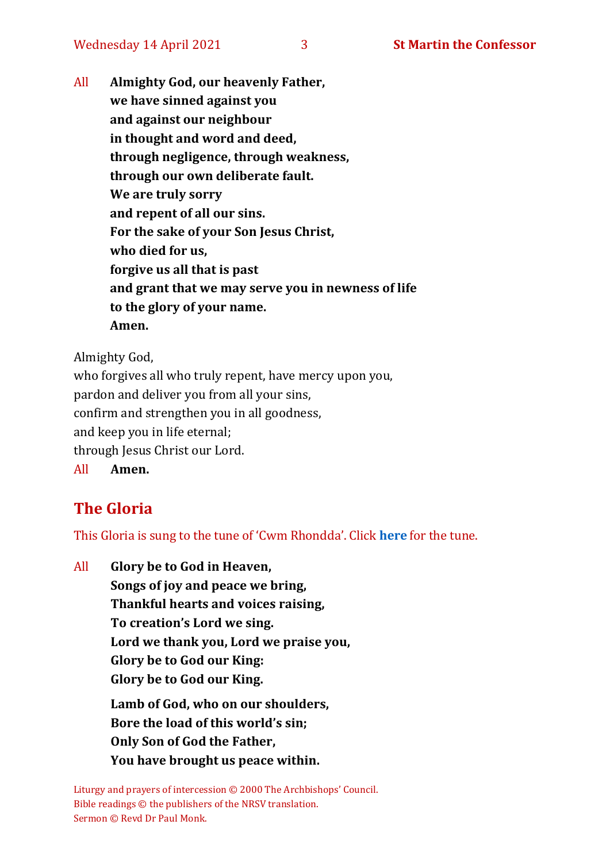All **Almighty God, our heavenly Father, we have sinned against you and against our neighbour in thought and word and deed, through negligence, through weakness, through our own deliberate fault. We are truly sorry and repent of all our sins. For the sake of your Son Jesus Christ, who died for us, forgive us all that is past and grant that we may serve you in newness of life to the glory of your name. Amen.**

Almighty God,

who forgives all who truly repent, have mercy upon you, pardon and deliver you from all your sins, confirm and strengthen you in all goodness, and keep you in life eternal; through Jesus Christ our Lord. All **Amen.**

# **The Gloria**

This Gloria is sung to the tune of 'Cwm Rhondda'. Click **[here](about:blank)** for the tune.

All **Glory be to God in Heaven, Songs of joy and peace we bring, Thankful hearts and voices raising, To creation's Lord we sing. Lord we thank you, Lord we praise you, Glory be to God our King: Glory be to God our King. Lamb of God, who on our shoulders, Bore the load of this world's sin; Only Son of God the Father, You have brought us peace within.**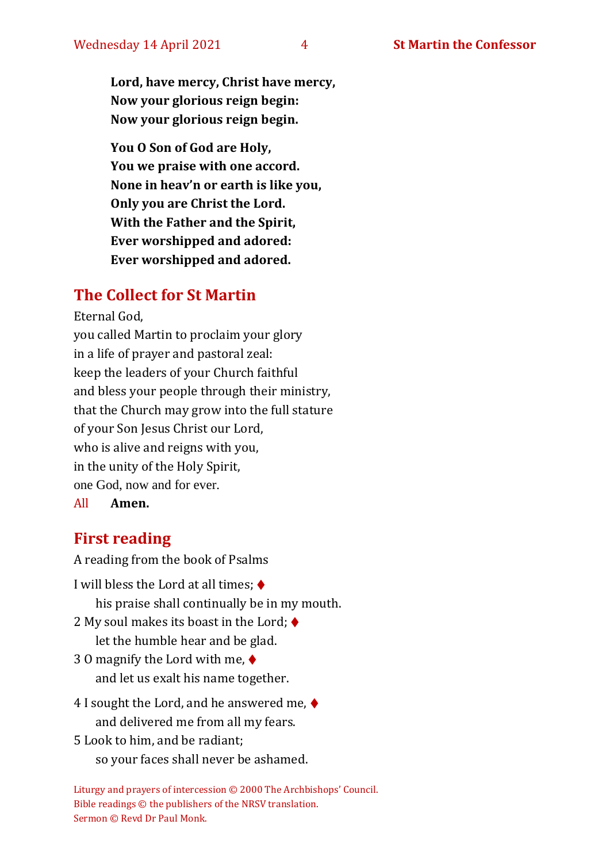**Lord, have mercy, Christ have mercy, Now your glorious reign begin: Now your glorious reign begin.**

**You O Son of God are Holy, You we praise with one accord. None in heav'n or earth is like you, Only you are Christ the Lord. With the Father and the Spirit, Ever worshipped and adored: Ever worshipped and adored.**

#### **The Collect for St Martin**

Eternal God,

you called Martin to proclaim your glory in a life of prayer and pastoral zeal: keep the leaders of your Church faithful and bless your people through their ministry, that the Church may grow into the full stature of your Son Jesus Christ our Lord, who is alive and reigns with you, in the unity of the Holy Spirit, one God, now and for ever. All **Amen.**

# **First reading**

A reading from the book of Psalms

- I will bless the Lord at all times:  $\triangleleft$ his praise shall continually be in my mouth. 2 My soul makes its boast in the Lord;  $\blacklozenge$ let the humble hear and be glad. 3 O magnify the Lord with me, ♦ and let us exalt his name together.
- 4 I sought the Lord, and he answered me, ♦ and delivered me from all my fears.
- 5 Look to him, and be radiant; so your faces shall never be ashamed.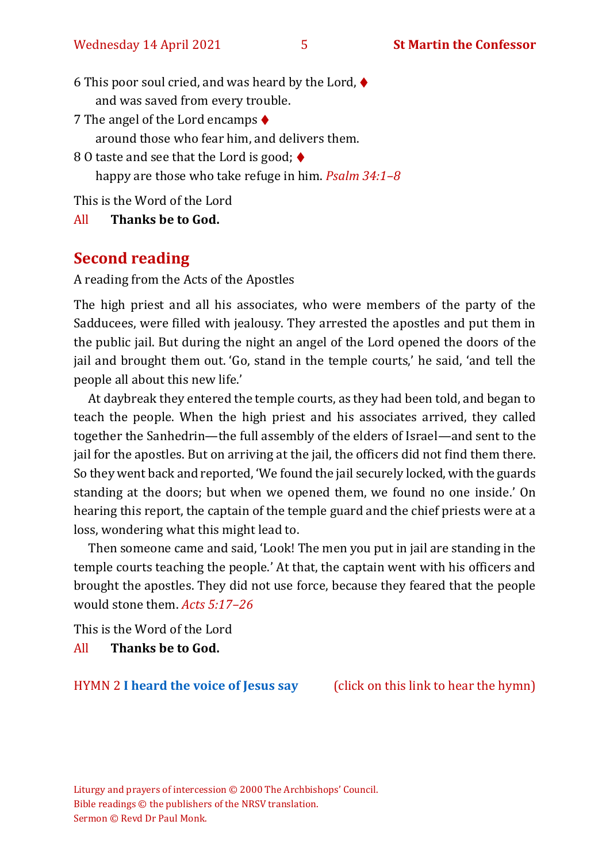6 This poor soul cried, and was heard by the Lord,  $\blacklozenge$ and was saved from every trouble.

7 The angel of the Lord encamps ♦

around those who fear him, and delivers them.

8 O taste and see that the Lord is good; ♦

happy are those who take refuge in him. *Psalm 34:1–8*

This is the Word of the Lord

All **Thanks be to God.**

#### **Second reading**

A reading from the Acts of the Apostles

The high priest and all his associates, who were members of the party of the Sadducees, were filled with jealousy. They arrested the apostles and put them in the public jail. But during the night an angel of the Lord opened the doors of the jail and brought them out. 'Go, stand in the temple courts,' he said, 'and tell the people all about this new life.'

At daybreak they entered the temple courts, as they had been told, and began to teach the people. When the high priest and his associates arrived, they called together the Sanhedrin—the full assembly of the elders of Israel—and sent to the jail for the apostles. But on arriving at the jail, the officers did not find them there. So they went back and reported, 'We found the jail securely locked, with the guards standing at the doors; but when we opened them, we found no one inside.' On hearing this report, the captain of the temple guard and the chief priests were at a loss, wondering what this might lead to.

Then someone came and said, 'Look! The men you put in jail are standing in the temple courts teaching the people.' At that, the captain went with his officers and brought the apostles. They did not use force, because they feared that the people would stone them. *Acts 5:17–26* 

This is the Word of the Lord All **Thanks be to God.**

HYMN 2 **[I heard the voice of Jesus](https://www.youtube.com/watch?v=XUVCpF8-VuE) say** (click on this link to hear the hymn)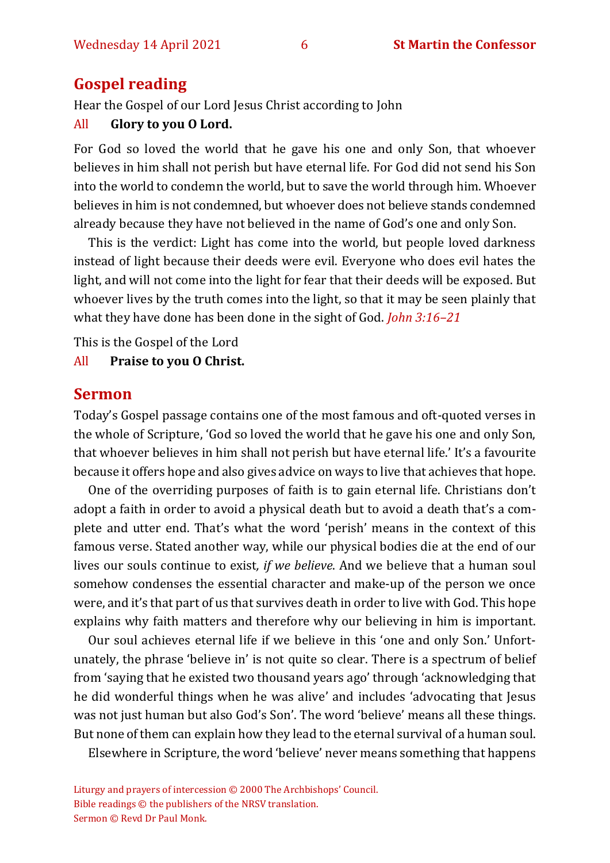#### **Gospel reading**

Hear the Gospel of our Lord Jesus Christ according to John

#### All **Glory to you O Lord.**

For God so loved the world that he gave his one and only Son, that whoever believes in him shall not perish but have eternal life. For God did not send his Son into the world to condemn the world, but to save the world through him. Whoever believes in him is not condemned, but whoever does not believe stands condemned already because they have not believed in the name of God's one and only Son.

This is the verdict: Light has come into the world, but people loved darkness instead of light because their deeds were evil. Everyone who does evil hates the light, and will not come into the light for fear that their deeds will be exposed. But whoever lives by the truth comes into the light, so that it may be seen plainly that what they have done has been done in the sight of God. *John 3:16–21* 

This is the Gospel of the Lord

All **Praise to you O Christ.** 

#### **Sermon**

Today's Gospel passage contains one of the most famous and oft-quoted verses in the whole of Scripture, 'God so loved the world that he gave his one and only Son, that whoever believes in him shall not perish but have eternal life.' It's a favourite because it offers hope and also gives advice on ways to live that achieves that hope.

One of the overriding purposes of faith is to gain eternal life. Christians don't adopt a faith in order to avoid a physical death but to avoid a death that's a complete and utter end. That's what the word 'perish' means in the context of this famous verse. Stated another way, while our physical bodies die at the end of our lives our souls continue to exist*, if we believe*. And we believe that a human soul somehow condenses the essential character and make-up of the person we once were, and it's that part of us that survives death in order to live with God. This hope explains why faith matters and therefore why our believing in him is important.

Our soul achieves eternal life if we believe in this 'one and only Son.' Unfortunately, the phrase 'believe in' is not quite so clear. There is a spectrum of belief from 'saying that he existed two thousand years ago' through 'acknowledging that he did wonderful things when he was alive' and includes 'advocating that Jesus was not just human but also God's Son'. The word 'believe' means all these things. But none of them can explain how they lead to the eternal survival of a human soul.

Elsewhere in Scripture, the word 'believe' never means something that happens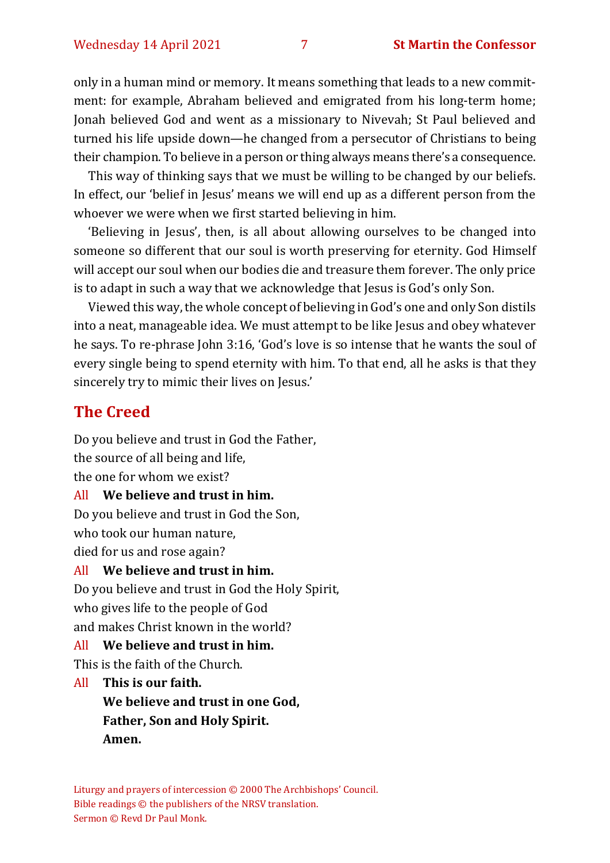only in a human mind or memory. It means something that leads to a new commitment: for example, Abraham believed and emigrated from his long-term home; Jonah believed God and went as a missionary to Nivevah; St Paul believed and turned his life upside down—he changed from a persecutor of Christians to being their champion. To believe in a person or thing always means there's a consequence.

This way of thinking says that we must be willing to be changed by our beliefs. In effect, our 'belief in Jesus' means we will end up as a different person from the whoever we were when we first started believing in him.

'Believing in Jesus', then, is all about allowing ourselves to be changed into someone so different that our soul is worth preserving for eternity. God Himself will accept our soul when our bodies die and treasure them forever. The only price is to adapt in such a way that we acknowledge that Jesus is God's only Son.

Viewed this way, the whole concept of believing in God's one and only Son distils into a neat, manageable idea. We must attempt to be like Jesus and obey whatever he says. To re-phrase John 3:16, 'God's love is so intense that he wants the soul of every single being to spend eternity with him. To that end, all he asks is that they sincerely try to mimic their lives on Jesus.'

#### **The Creed**

Do you believe and trust in God the Father, the source of all being and life, the one for whom we exist? All **We believe and trust in him.**

Do you believe and trust in God the Son,

who took our human nature,

died for us and rose again?

#### All **We believe and trust in him.**

Do you believe and trust in God the Holy Spirit, who gives life to the people of God and makes Christ known in the world?

#### All **We believe and trust in him.**

This is the faith of the Church.

#### All **This is our faith.**

**We believe and trust in one God, Father, Son and Holy Spirit. Amen.**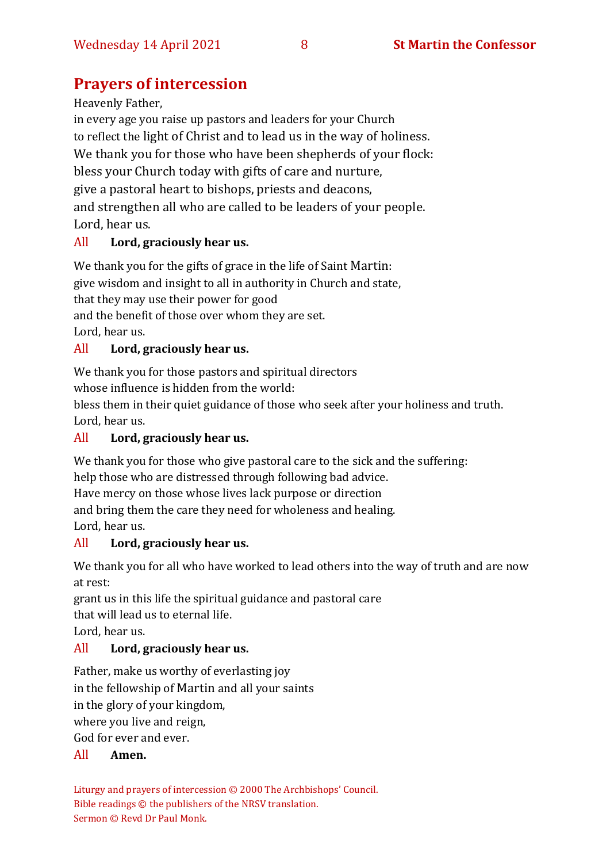# **Prayers of intercession**

#### Heavenly Father,

in every age you raise up pastors and leaders for your Church to reflect the light of Christ and to lead us in the way of holiness. We thank you for those who have been shepherds of your flock: bless your Church today with gifts of care and nurture, give a pastoral heart to bishops, priests and deacons, and strengthen all who are called to be leaders of your people. Lord, hear us.

#### All **Lord, graciously hear us.**

We thank you for the gifts of grace in the life of Saint Martin: give wisdom and insight to all in authority in Church and state, that they may use their power for good and the benefit of those over whom they are set. Lord, hear us.

#### All **Lord, graciously hear us.**

We thank you for those pastors and spiritual directors

whose influence is hidden from the world:

bless them in their quiet guidance of those who seek after your holiness and truth. Lord, hear us.

#### All **Lord, graciously hear us.**

We thank you for those who give pastoral care to the sick and the suffering:

help those who are distressed through following bad advice.

Have mercy on those whose lives lack purpose or direction

and bring them the care they need for wholeness and healing. Lord, hear us.

#### All **Lord, graciously hear us.**

We thank you for all who have worked to lead others into the way of truth and are now at rest:

grant us in this life the spiritual guidance and pastoral care

that will lead us to eternal life.

Lord, hear us.

#### All **Lord, graciously hear us.**

Father, make us worthy of everlasting joy

in the fellowship of Martin and all your saints

in the glory of your kingdom,

where you live and reign,

God for ever and ever.

#### All **Amen.**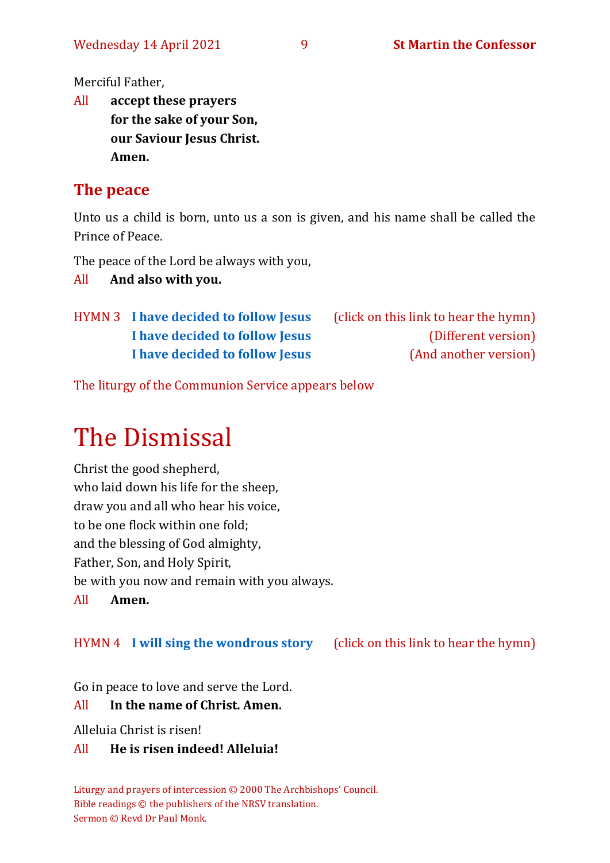Merciful Father,

All **accept these prayers for the sake of your Son, our Saviour Jesus Christ. Amen.**

# **The peace**

Unto us a child is born, unto us a son is given, and his name shall be called the Prince of Peace.

The peace of the Lord be always with you,

All **And also with you.**

|  | HYMN 3 I have decided to follow Jesus | (click on this link to hear the hymn) |
|--|---------------------------------------|---------------------------------------|
|  | I have decided to follow Jesus        | (Different version)                   |
|  | I have decided to follow Jesus        | (And another version)                 |

The liturgy of the Communion Service appears below

# The Dismissal

Christ the good shepherd, who laid down his life for the sheep, draw you and all who hear his voice, to be one flock within one fold; and the blessing of God almighty, Father, Son, and Holy Spirit, be with you now and remain with you always. All **Amen.**

HYMN 4 **[I will sing the wondrous story](https://www.youtube.com/watch?v=mv8wo-t6C1I)** (click on this link to hear the hymn)

Go in peace to love and serve the Lord.

#### All **In the name of Christ. Amen.**

Alleluia Christ is risen!

#### All **He is risen indeed! Alleluia!**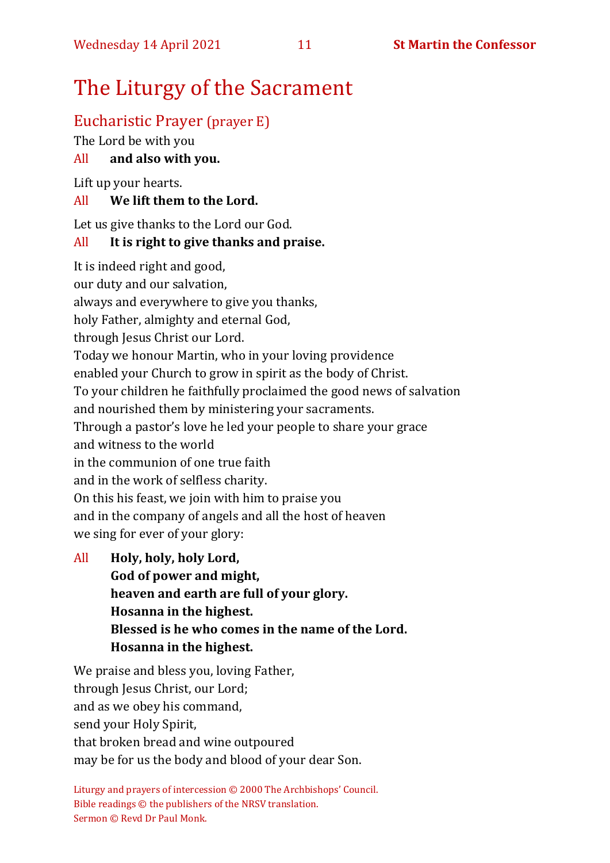# The Liturgy of the Sacrament

# Eucharistic Prayer (prayer E)

The Lord be with you

#### All **and also with you.**

Lift up your hearts.

#### All **We lift them to the Lord.**

Let us give thanks to the Lord our God.

### All **It is right to give thanks and praise.**

It is indeed right and good, our duty and our salvation, always and everywhere to give you thanks, holy Father, almighty and eternal God, through Jesus Christ our Lord. Today we honour Martin, who in your loving providence enabled your Church to grow in spirit as the body of Christ. To your children he faithfully proclaimed the good news of salvation and nourished them by ministering your sacraments. Through a pastor's love he led your people to share your grace

and witness to the world

in the communion of one true faith

and in the work of selfless charity.

On this his feast, we join with him to praise you

and in the company of angels and all the host of heaven we sing for ever of your glory:

All **Holy, holy, holy Lord, God of power and might, heaven and earth are full of your glory. Hosanna in the highest. Blessed is he who comes in the name of the Lord. Hosanna in the highest.**

We praise and bless you, loving Father, through Jesus Christ, our Lord; and as we obey his command, send your Holy Spirit, that broken bread and wine outpoured may be for us the body and blood of your dear Son.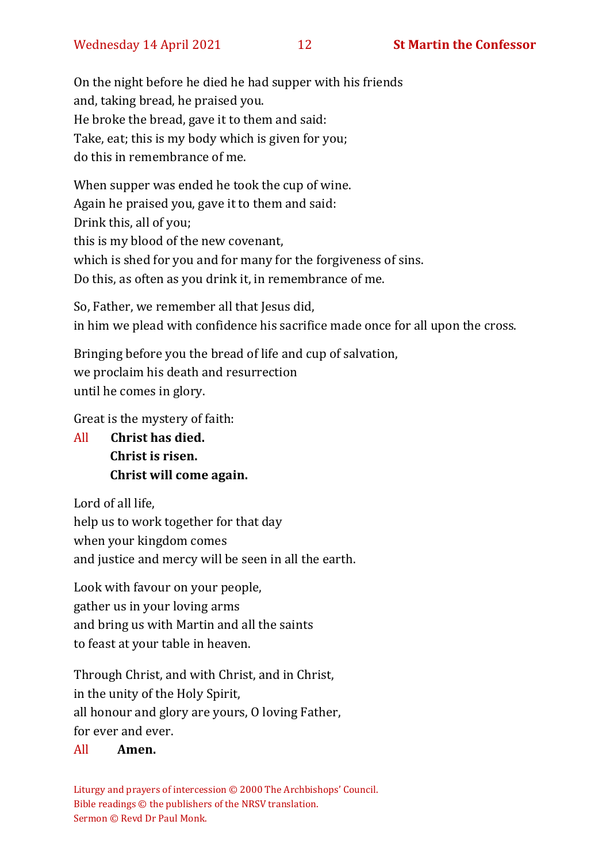On the night before he died he had supper with his friends and, taking bread, he praised you. He broke the bread, gave it to them and said: Take, eat; this is my body which is given for you; do this in remembrance of me.

When supper was ended he took the cup of wine. Again he praised you, gave it to them and said: Drink this, all of you; this is my blood of the new covenant, which is shed for you and for many for the forgiveness of sins. Do this, as often as you drink it, in remembrance of me.

So, Father, we remember all that Jesus did, in him we plead with confidence his sacrifice made once for all upon the cross.

Bringing before you the bread of life and cup of salvation, we proclaim his death and resurrection until he comes in glory.

Great is the mystery of faith:

All **Christ has died. Christ is risen. Christ will come again.**

Lord of all life, help us to work together for that day when your kingdom comes and justice and mercy will be seen in all the earth.

Look with favour on your people, gather us in your loving arms and bring us with Martin and all the saints to feast at your table in heaven.

Through Christ, and with Christ, and in Christ, in the unity of the Holy Spirit, all honour and glory are yours, O loving Father, for ever and ever.

#### All **Amen.**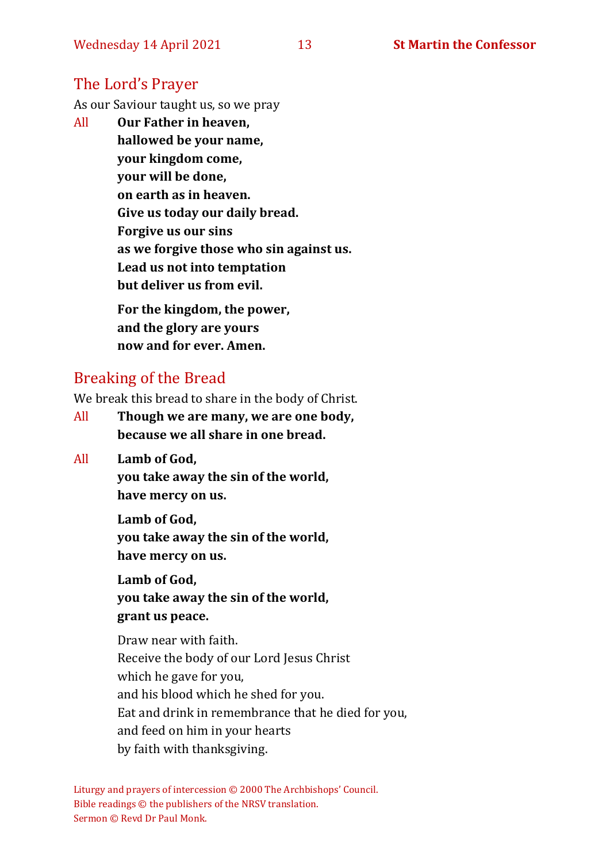# The Lord's Prayer

As our Saviour taught us, so we pray

All **Our Father in heaven, hallowed be your name, your kingdom come, your will be done, on earth as in heaven. Give us today our daily bread. Forgive us our sins as we forgive those who sin against us. Lead us not into temptation but deliver us from evil. For the kingdom, the power,** 

**and the glory are yours now and for ever. Amen.**

# Breaking of the Bread

We break this bread to share in the body of Christ.

- All **Though we are many, we are one body, because we all share in one bread.**
- All **Lamb of God,**

**you take away the sin of the world, have mercy on us.**

**Lamb of God,** 

**you take away the sin of the world, have mercy on us.**

**Lamb of God,** 

**you take away the sin of the world, grant us peace.**

Draw near with faith. Receive the body of our Lord Jesus Christ which he gave for you, and his blood which he shed for you. Eat and drink in remembrance that he died for you, and feed on him in your hearts by faith with thanksgiving.